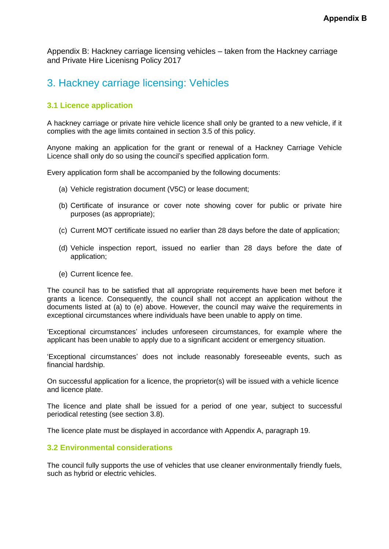Appendix B: Hackney carriage licensing vehicles – taken from the Hackney carriage and Private Hire Licenisng Policy 2017

# 3. Hackney carriage licensing: Vehicles

# **3.1 Licence application**

A hackney carriage or private hire vehicle licence shall only be granted to a new vehicle, if it complies with the age limits contained in section 3.5 of this policy.

Anyone making an application for the grant or renewal of a Hackney Carriage Vehicle Licence shall only do so using the council's specified application form.

Every application form shall be accompanied by the following documents:

- (a) Vehicle registration document (V5C) or lease document;
- (b) Certificate of insurance or cover note showing cover for public or private hire purposes (as appropriate);
- (c) Current MOT certificate issued no earlier than 28 days before the date of application;
- (d) Vehicle inspection report, issued no earlier than 28 days before the date of application;
- (e) Current licence fee.

The council has to be satisfied that all appropriate requirements have been met before it grants a licence. Consequently, the council shall not accept an application without the documents listed at (a) to (e) above. However, the council may waive the requirements in exceptional circumstances where individuals have been unable to apply on time.

'Exceptional circumstances' includes unforeseen circumstances, for example where the applicant has been unable to apply due to a significant accident or emergency situation.

'Exceptional circumstances' does not include reasonably foreseeable events, such as financial hardship.

On successful application for a licence, the proprietor(s) will be issued with a vehicle licence and licence plate.

The licence and plate shall be issued for a period of one year, subject to successful periodical retesting (see section 3.8).

The licence plate must be displayed in accordance with Appendix A, paragraph 19.

# **3.2 Environmental considerations**

The council fully supports the use of vehicles that use cleaner environmentally friendly fuels, such as hybrid or electric vehicles.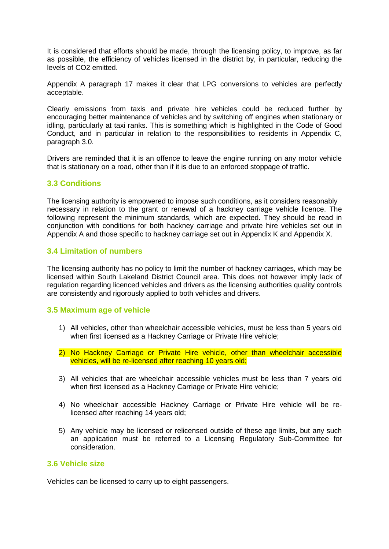It is considered that efforts should be made, through the licensing policy, to improve, as far as possible, the efficiency of vehicles licensed in the district by, in particular, reducing the levels of CO2 emitted.

Appendix A paragraph 17 makes it clear that LPG conversions to vehicles are perfectly acceptable.

Clearly emissions from taxis and private hire vehicles could be reduced further by encouraging better maintenance of vehicles and by switching off engines when stationary or idling, particularly at taxi ranks. This is something which is highlighted in the Code of Good Conduct, and in particular in relation to the responsibilities to residents in Appendix C, paragraph 3.0.

Drivers are reminded that it is an offence to leave the engine running on any motor vehicle that is stationary on a road, other than if it is due to an enforced stoppage of traffic.

## **3.3 Conditions**

The licensing authority is empowered to impose such conditions, as it considers reasonably necessary in relation to the grant or renewal of a hackney carriage vehicle licence. The following represent the minimum standards, which are expected. They should be read in conjunction with conditions for both hackney carriage and private hire vehicles set out in Appendix A and those specific to hackney carriage set out in Appendix K and Appendix X.

## **3.4 Limitation of numbers**

The licensing authority has no policy to limit the number of hackney carriages, which may be licensed within South Lakeland District Council area. This does not however imply lack of regulation regarding licenced vehicles and drivers as the licensing authorities quality controls are consistently and rigorously applied to both vehicles and drivers.

#### **3.5 Maximum age of vehicle**

- 1) All vehicles, other than wheelchair accessible vehicles, must be less than 5 years old when first licensed as a Hackney Carriage or Private Hire vehicle;
- 2) No Hackney Carriage or Private Hire vehicle, other than wheelchair accessible vehicles, will be re-licensed after reaching 10 years old;
- 3) All vehicles that are wheelchair accessible vehicles must be less than 7 years old when first licensed as a Hackney Carriage or Private Hire vehicle;
- 4) No wheelchair accessible Hackney Carriage or Private Hire vehicle will be relicensed after reaching 14 years old;
- 5) Any vehicle may be licensed or relicensed outside of these age limits, but any such an application must be referred to a Licensing Regulatory Sub-Committee for consideration.

#### **3.6 Vehicle size**

Vehicles can be licensed to carry up to eight passengers.